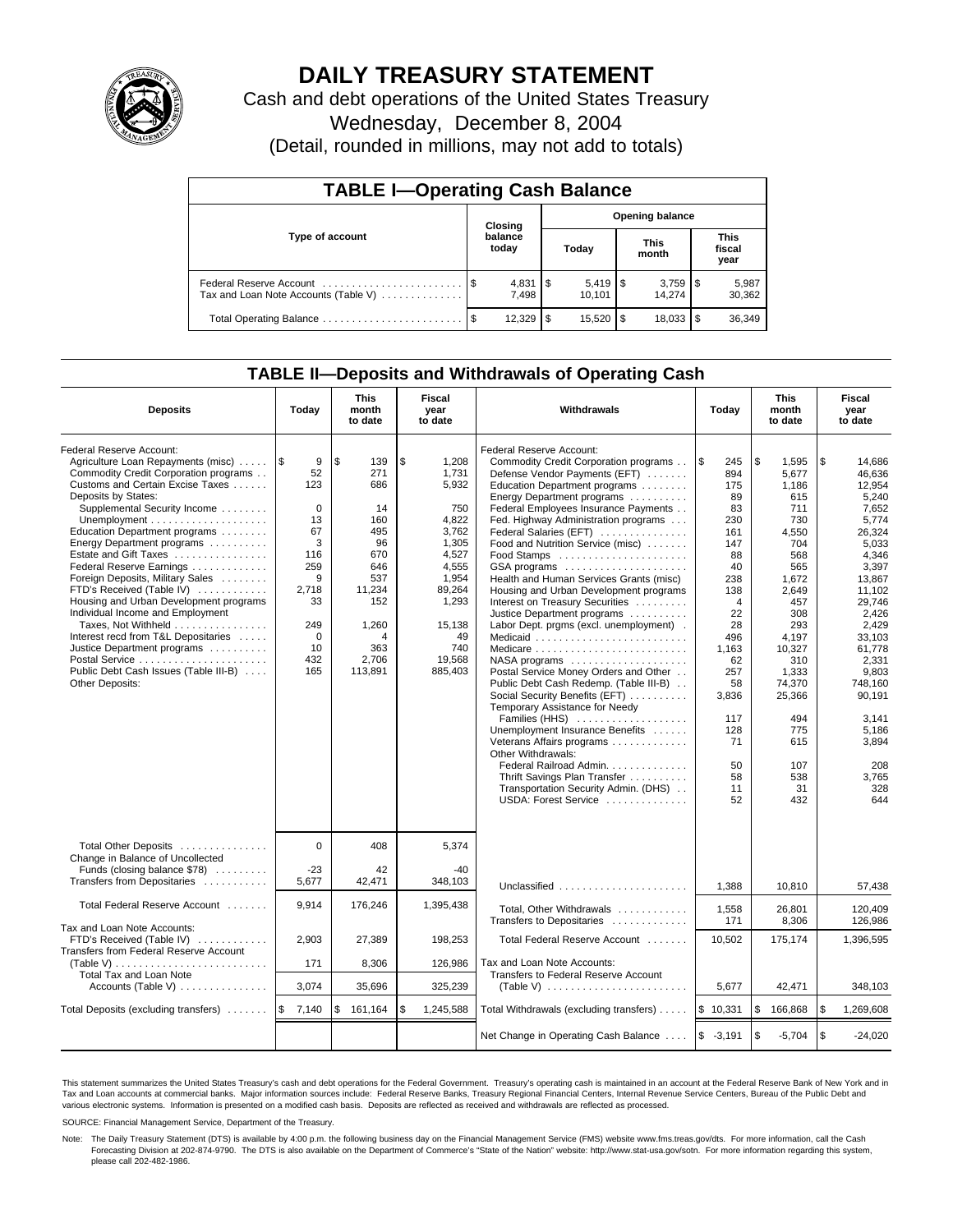

# **DAILY TREASURY STATEMENT**

Cash and debt operations of the United States Treasury

Wednesday, December 8, 2004

(Detail, rounded in millions, may not add to totals)

| <b>TABLE I-Operating Cash Balance</b> |  |                  |                        |            |  |                                 |                               |                 |  |
|---------------------------------------|--|------------------|------------------------|------------|--|---------------------------------|-------------------------------|-----------------|--|
|                                       |  | Closing          | <b>Opening balance</b> |            |  |                                 |                               |                 |  |
| Type of account                       |  | balance<br>today |                        | Today      |  | This<br>month                   | <b>This</b><br>fiscal<br>year |                 |  |
| Tax and Loan Note Accounts (Table V)  |  | 7.498            |                        | 10.101     |  | $3,759$ $\frac{1}{3}$<br>14.274 |                               | 5,987<br>30,362 |  |
|                                       |  | 12.329           | - \$                   | $15.520$ S |  | 18.033                          |                               | 36,349          |  |

### **TABLE II—Deposits and Withdrawals of Operating Cash**

| <b>Deposits</b>                                                                                                                                                                                                                                                                                                                                                                                                                                                                                                                                                                                                                                                                                             | Today                                                                                                                | <b>This</b><br>month<br>to date                                                                                                  | Fiscal<br>year<br>to date                                                                                                                                 | Withdrawals                                                                                                                                                                                                                                                                                                                                                                                                                                                                                                                                                                                                                                                                                                                                                                                                                                                                                                                                                                                      | Today                                                                                                                                                                                                     | <b>This</b><br>month<br>to date                                                                                                                                                                                                | Fiscal<br>year<br>to date                                                                                                                                                                                                                                            |  |
|-------------------------------------------------------------------------------------------------------------------------------------------------------------------------------------------------------------------------------------------------------------------------------------------------------------------------------------------------------------------------------------------------------------------------------------------------------------------------------------------------------------------------------------------------------------------------------------------------------------------------------------------------------------------------------------------------------------|----------------------------------------------------------------------------------------------------------------------|----------------------------------------------------------------------------------------------------------------------------------|-----------------------------------------------------------------------------------------------------------------------------------------------------------|--------------------------------------------------------------------------------------------------------------------------------------------------------------------------------------------------------------------------------------------------------------------------------------------------------------------------------------------------------------------------------------------------------------------------------------------------------------------------------------------------------------------------------------------------------------------------------------------------------------------------------------------------------------------------------------------------------------------------------------------------------------------------------------------------------------------------------------------------------------------------------------------------------------------------------------------------------------------------------------------------|-----------------------------------------------------------------------------------------------------------------------------------------------------------------------------------------------------------|--------------------------------------------------------------------------------------------------------------------------------------------------------------------------------------------------------------------------------|----------------------------------------------------------------------------------------------------------------------------------------------------------------------------------------------------------------------------------------------------------------------|--|
| Federal Reserve Account:<br>Agriculture Loan Repayments (misc)<br>Commodity Credit Corporation programs<br>Customs and Certain Excise Taxes<br>Deposits by States:<br>Supplemental Security Income<br>Unemployment $\dots\dots\dots\dots\dots\dots\dots\dots$<br>Education Department programs<br>Energy Department programs<br>Estate and Gift Taxes<br>Federal Reserve Earnings<br>Foreign Deposits, Military Sales<br>FTD's Received (Table IV)<br>Housing and Urban Development programs<br>Individual Income and Employment<br>Taxes, Not Withheld<br>Interest recd from T&L Depositaries<br>Justice Department programs<br>Postal Service<br>Public Debt Cash Issues (Table III-B)<br>Other Deposits: | 1\$<br>9<br>52<br>123<br>$\Omega$<br>13<br>67<br>3<br>116<br>259<br>9<br>2,718<br>33<br>249<br>0<br>10<br>432<br>165 | \$<br>139<br>271<br>686<br>14<br>160<br>495<br>96<br>670<br>646<br>537<br>11,234<br>152<br>1,260<br>4<br>363<br>2,706<br>113,891 | \$<br>1,208<br>1.731<br>5,932<br>750<br>4,822<br>3,762<br>1,305<br>4,527<br>4,555<br>1,954<br>89,264<br>1,293<br>15,138<br>49<br>740<br>19,568<br>885,403 | Federal Reserve Account:<br>Commodity Credit Corporation programs<br>Defense Vendor Payments (EFT)<br>Education Department programs<br>Energy Department programs<br>Federal Employees Insurance Payments<br>Fed. Highway Administration programs<br>Federal Salaries (EFT)<br>Food and Nutrition Service (misc)<br>$GSA$ programs $\ldots \ldots \ldots \ldots \ldots$<br>Health and Human Services Grants (misc)<br>Housing and Urban Development programs<br>Interest on Treasury Securities<br>Justice Department programs<br>Labor Dept. prgms (excl. unemployment).<br>Medicaid<br>NASA programs<br>Postal Service Money Orders and Other<br>Public Debt Cash Redemp. (Table III-B)<br>Social Security Benefits (EFT)<br>Temporary Assistance for Needy<br>Families (HHS)<br>Unemployment Insurance Benefits<br>Veterans Affairs programs<br>Other Withdrawals:<br>Federal Railroad Admin.<br>Thrift Savings Plan Transfer<br>Transportation Security Admin. (DHS)<br>USDA: Forest Service | 1\$<br>245<br>894<br>175<br>89<br>83<br>230<br>161<br>147<br>88<br>40<br>238<br>138<br>$\overline{4}$<br>22<br>28<br>496<br>1,163<br>62<br>257<br>58<br>3,836<br>117<br>128<br>71<br>50<br>58<br>11<br>52 | \$<br>1,595<br>5.677<br>1.186<br>615<br>711<br>730<br>4,550<br>704<br>568<br>565<br>1,672<br>2,649<br>457<br>308<br>293<br>4.197<br>10,327<br>310<br>1,333<br>74.370<br>25,366<br>494<br>775<br>615<br>107<br>538<br>31<br>432 | \$<br>14,686<br>46.636<br>12.954<br>5,240<br>7,652<br>5,774<br>26,324<br>5.033<br>4.346<br>3,397<br>13,867<br>11,102<br>29.746<br>2.426<br>2,429<br>33.103<br>61,778<br>2,331<br>9,803<br>748.160<br>90,191<br>3.141<br>5,186<br>3,894<br>208<br>3,765<br>328<br>644 |  |
| Total Other Deposits<br>Change in Balance of Uncollected<br>Funds (closing balance $$78$ )<br>Transfers from Depositaries                                                                                                                                                                                                                                                                                                                                                                                                                                                                                                                                                                                   | $\Omega$<br>$-23$<br>5,677                                                                                           | 408<br>42<br>42,471                                                                                                              | 5,374<br>$-40$<br>348,103                                                                                                                                 | Unclassified                                                                                                                                                                                                                                                                                                                                                                                                                                                                                                                                                                                                                                                                                                                                                                                                                                                                                                                                                                                     | 1.388                                                                                                                                                                                                     | 10.810                                                                                                                                                                                                                         | 57,438                                                                                                                                                                                                                                                               |  |
| Total Federal Reserve Account                                                                                                                                                                                                                                                                                                                                                                                                                                                                                                                                                                                                                                                                               | 9,914                                                                                                                | 176,246                                                                                                                          | 1,395,438                                                                                                                                                 | Total, Other Withdrawals<br>Transfers to Depositaries                                                                                                                                                                                                                                                                                                                                                                                                                                                                                                                                                                                                                                                                                                                                                                                                                                                                                                                                            | 1,558<br>171                                                                                                                                                                                              | 26,801<br>8,306                                                                                                                                                                                                                | 120,409<br>126,986                                                                                                                                                                                                                                                   |  |
| Tax and Loan Note Accounts:<br>FTD's Received (Table IV)<br>Transfers from Federal Reserve Account<br>(Table V) $\ldots \ldots \ldots \ldots \ldots \ldots \ldots$                                                                                                                                                                                                                                                                                                                                                                                                                                                                                                                                          | 2,903<br>171                                                                                                         | 27,389<br>8,306                                                                                                                  | 198,253<br>126,986                                                                                                                                        | Total Federal Reserve Account<br>Tax and Loan Note Accounts:                                                                                                                                                                                                                                                                                                                                                                                                                                                                                                                                                                                                                                                                                                                                                                                                                                                                                                                                     | 10,502                                                                                                                                                                                                    | 175,174                                                                                                                                                                                                                        | 1,396,595                                                                                                                                                                                                                                                            |  |
| <b>Total Tax and Loan Note</b><br>Accounts (Table V) $\dots \dots \dots \dots$                                                                                                                                                                                                                                                                                                                                                                                                                                                                                                                                                                                                                              | 3,074                                                                                                                | 35,696                                                                                                                           | 325,239                                                                                                                                                   | Transfers to Federal Reserve Account<br>(Table V) $\ldots \ldots \ldots \ldots \ldots \ldots \ldots$                                                                                                                                                                                                                                                                                                                                                                                                                                                                                                                                                                                                                                                                                                                                                                                                                                                                                             | 5,677                                                                                                                                                                                                     | 42,471                                                                                                                                                                                                                         | 348,103                                                                                                                                                                                                                                                              |  |
| Total Deposits (excluding transfers) $\ldots \ldots$                                                                                                                                                                                                                                                                                                                                                                                                                                                                                                                                                                                                                                                        | 7,140                                                                                                                | \$<br>161,164                                                                                                                    | \$<br>1,245,588                                                                                                                                           | Total Withdrawals (excluding transfers)                                                                                                                                                                                                                                                                                                                                                                                                                                                                                                                                                                                                                                                                                                                                                                                                                                                                                                                                                          | \$10,331                                                                                                                                                                                                  | 166,868<br>l \$                                                                                                                                                                                                                | 1,269,608<br>\$                                                                                                                                                                                                                                                      |  |
|                                                                                                                                                                                                                                                                                                                                                                                                                                                                                                                                                                                                                                                                                                             |                                                                                                                      |                                                                                                                                  |                                                                                                                                                           | Net Change in Operating Cash Balance  \\$ -3,191                                                                                                                                                                                                                                                                                                                                                                                                                                                                                                                                                                                                                                                                                                                                                                                                                                                                                                                                                 |                                                                                                                                                                                                           | l \$<br>$-5,704$                                                                                                                                                                                                               | \$<br>$-24.020$                                                                                                                                                                                                                                                      |  |

This statement summarizes the United States Treasury's cash and debt operations for the Federal Government. Treasury's operating cash is maintained in an account at the Federal Reserve Bank of New York and in Tax and Loan accounts at commercial banks. Major information sources include: Federal Reserve Banks, Treasury Regional Financial Centers, Internal Revenue Service Centers, Bureau of the Public Debt and<br>various electronic s

SOURCE: Financial Management Service, Department of the Treasury.

Note: The Daily Treasury Statement (DTS) is available by 4:00 p.m. the following business day on the Financial Management Service (FMS) website www.fms.treas.gov/dts. For more information, call the Cash Forecasting Division at 202-874-9790. The DTS is also available on the Department of Commerce's "State of the Nation" website: http://www.stat-usa.gov/sotn. For more information regarding this system, please call 202-482-1986.